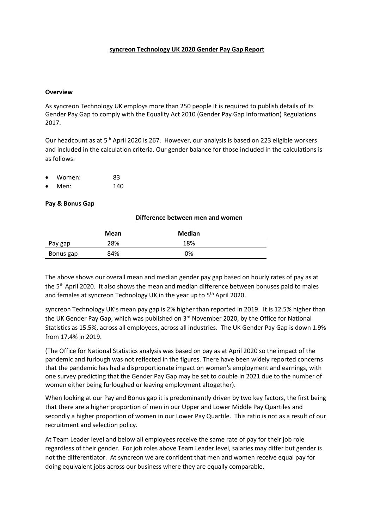### **syncreon Technology UK 2020 Gender Pay Gap Report**

### **Overview**

As syncreon Technology UK employs more than 250 people it is required to publish details of its Gender Pay Gap to comply with the Equality Act 2010 (Gender Pay Gap Information) Regulations 2017.

Our headcount as at 5<sup>th</sup> April 2020 is 267. However, our analysis is based on 223 eligible workers and included in the calculation criteria. Our gender balance for those included in the calculations is as follows:

- Women: 83
- Men: 140

## **Pay & Bonus Gap**

#### **Difference between men and women**

|           | Mean | <b>Median</b> |
|-----------|------|---------------|
| Pay gap   | 28%  | 18%           |
| Bonus gap | 84%  | 0%            |

The above shows our overall mean and median gender pay gap based on hourly rates of pay as at the 5<sup>th</sup> April 2020. It also shows the mean and median difference between bonuses paid to males and females at syncreon Technology UK in the year up to 5<sup>th</sup> April 2020.

syncreon Technology UK's mean pay gap is 2% higher than reported in 2019. It is 12.5% higher than the UK Gender Pay Gap, which was published on 3<sup>rd</sup> November 2020, by the Office for National Statistics as 15.5%, across all employees, across all industries. The UK Gender Pay Gap is down 1.9% from 17.4% in 2019.

(The Office for National Statistics analysis was based on pay as at April 2020 so the impact of the pandemic and furlough was not reflected in the figures. There have been widely reported concerns that the pandemic has had a disproportionate impact on women's employment and earnings, with one survey predicting that the Gender Pay Gap may be set to double in 2021 due to the number of women either being furloughed or leaving employment altogether).

When looking at our Pay and Bonus gap it is predominantly driven by two key factors, the first being that there are a higher proportion of men in our Upper and Lower Middle Pay Quartiles and secondly a higher proportion of women in our Lower Pay Quartile. This ratio is not as a result of our recruitment and selection policy.

At Team Leader level and below all employees receive the same rate of pay for their job role regardless of their gender. For job roles above Team Leader level, salaries may differ but gender is not the differentiator. At syncreon we are confident that men and women receive equal pay for doing equivalent jobs across our business where they are equally comparable.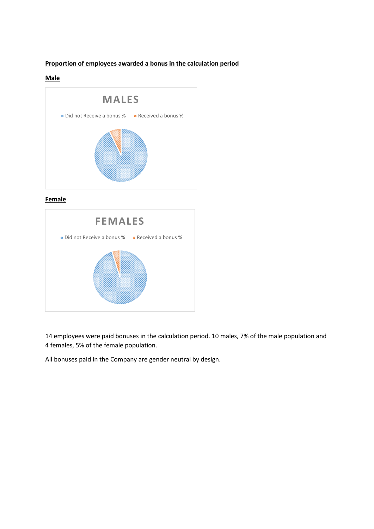# **Proportion of employees awarded a bonus in the calculation period**

## **Male**



# **Female**



14 employees were paid bonuses in the calculation period. 10 males, 7% of the male population and 4 females, 5% of the female population.

All bonuses paid in the Company are gender neutral by design.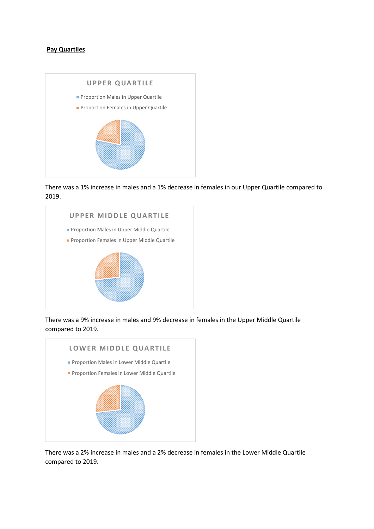## **Pay Quartiles**



There was a 1% increase in males and a 1% decrease in females in our Upper Quartile compared to 2019.



There was a 9% increase in males and 9% decrease in females in the Upper Middle Quartile compared to 2019.



There was a 2% increase in males and a 2% decrease in females in the Lower Middle Quartile compared to 2019.